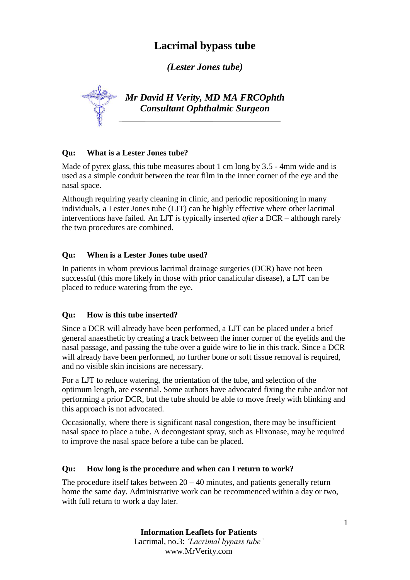# **Lacrimal bypass tube**

*(Lester Jones tube)*

*Mr David H Verity, MD MA FRCOphth Consultant Ophthalmic Surgeon*

## **Qu: What is a Lester Jones tube?**

Made of pyrex glass, this tube measures about 1 cm long by 3.5 - 4mm wide and is used as a simple conduit between the tear film in the inner corner of the eye and the nasal space.

Although requiring yearly cleaning in clinic, and periodic repositioning in many individuals, a Lester Jones tube (LJT) can be highly effective where other lacrimal interventions have failed. An LJT is typically inserted *after* a DCR – although rarely the two procedures are combined.

## **Qu: When is a Lester Jones tube used?**

In patients in whom previous lacrimal drainage surgeries (DCR) have not been successful (this more likely in those with prior canalicular disease), a LJT can be placed to reduce watering from the eye.

## **Qu: How is this tube inserted?**

Since a DCR will already have been performed, a LJT can be placed under a brief general anaesthetic by creating a track between the inner corner of the eyelids and the nasal passage, and passing the tube over a guide wire to lie in this track. Since a DCR will already have been performed, no further bone or soft tissue removal is required, and no visible skin incisions are necessary.

For a LJT to reduce watering, the orientation of the tube, and selection of the optimum length, are essential. Some authors have advocated fixing the tube and/or not performing a prior DCR, but the tube should be able to move freely with blinking and this approach is not advocated.

Occasionally, where there is significant nasal congestion, there may be insufficient nasal space to place a tube. A decongestant spray, such as Flixonase, may be required to improve the nasal space before a tube can be placed.

#### **Qu: How long is the procedure and when can I return to work?**

The procedure itself takes between  $20 - 40$  minutes, and patients generally return home the same day. Administrative work can be recommenced within a day or two, with full return to work a day later.